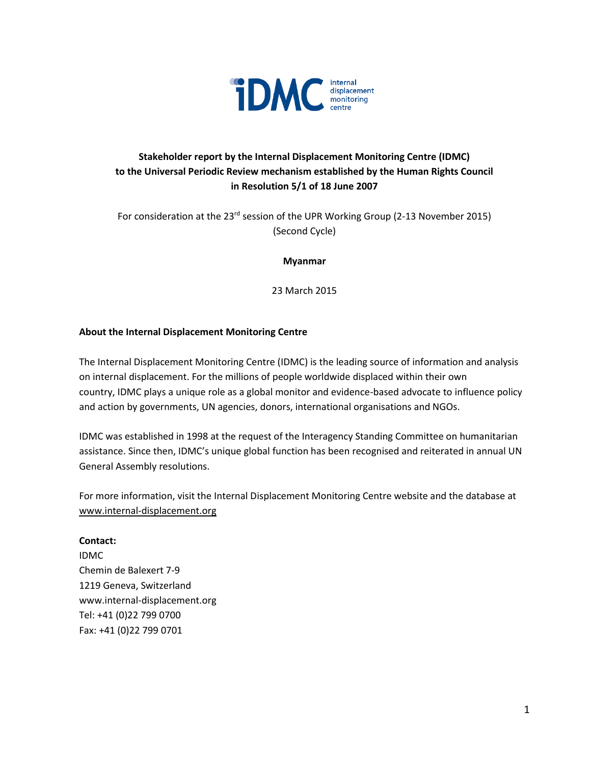

# **Stakeholder report by the Internal Displacement Monitoring Centre (IDMC) to the Universal Periodic Review mechanism established by the Human Rights Council in Resolution 5/1 of 18 June 2007**

For consideration at the 23<sup>rd</sup> session of the UPR Working Group (2-13 November 2015) (Second Cycle)

**Myanmar**

23 March 2015

#### **About the Internal Displacement Monitoring Centre**

The Internal Displacement Monitoring Centre (IDMC) is the leading source of information and analysis on internal displacement. For the millions of people worldwide displaced within their own country, IDMC plays a unique role as a global monitor and evidence-based advocate to influence policy and action by governments, UN agencies, donors, international organisations and NGOs.

IDMC was established in 1998 at the request of the Interagency Standing Committee on humanitarian assistance. Since then, IDMC's unique global function has been recognised and reiterated in annual UN General Assembly resolutions.

For more information, visit the Internal Displacement Monitoring Centre website and the database at [www.internal-displacement.org](http://www.internal-displacement.org/)

#### **Contact:**

IDMC Chemin de Balexert 7-9 1219 Geneva, Switzerland www.internal-displacement.org Tel: +41 (0)22 799 0700 Fax: +41 (0)22 799 0701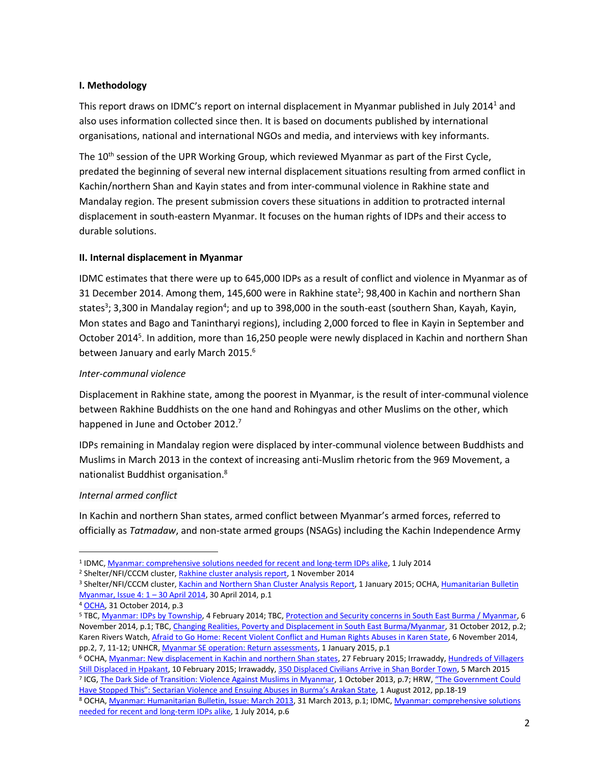### **I. Methodology**

This report draws on IDMC's report on internal displacement in Myanmar published in July 2014<sup>1</sup> and also uses information collected since then. It is based on documents published by international organisations, national and international NGOs and media, and interviews with key informants.

The  $10<sup>th</sup>$  session of the UPR Working Group, which reviewed Myanmar as part of the First Cycle, predated the beginning of several new internal displacement situations resulting from armed conflict in Kachin/northern Shan and Kayin states and from inter-communal violence in Rakhine state and Mandalay region. The present submission covers these situations in addition to protracted internal displacement in south-eastern Myanmar. It focuses on the human rights of IDPs and their access to durable solutions.

#### **II. Internal displacement in Myanmar**

IDMC estimates that there were up to 645,000 IDPs as a result of conflict and violence in Myanmar as of 31 December 2014. Among them, 145,600 were in Rakhine state<sup>2</sup>; 98,400 in Kachin and northern Shan states<sup>3</sup>; 3,300 in Mandalay region<sup>4</sup>; and up to 398,000 in the south-east (southern Shan, Kayah, Kayin, Mon states and Bago and Tanintharyi regions), including 2,000 forced to flee in Kayin in September and October 2014<sup>5</sup>. In addition, more than 16,250 people were newly displaced in Kachin and northern Shan between January and early March 2015.<sup>6</sup>

#### *Inter-communal violence*

Displacement in Rakhine state, among the poorest in Myanmar, is the result of inter-communal violence between Rakhine Buddhists on the one hand and Rohingyas and other Muslims on the other, which happened in June and October 2012.<sup>7</sup>

IDPs remaining in Mandalay region were displaced by inter-communal violence between Buddhists and Muslims in March 2013 in the context of increasing anti-Muslim rhetoric from the 969 Movement, a nationalist Buddhist organisation. 8

#### *Internal armed conflict*

 $\overline{a}$ 

In Kachin and northern Shan states, armed conflict between Myanmar's armed forces, referred to officially as *Tatmadaw*, and non-state armed groups (NSAGs) including the Kachin Independence Army

<sup>6</sup> OCHA, [Myanmar: New displacement in Kachin and northern Shan states,](http://reliefweb.int/map/myanmar/myanmar-new-displacement-kachin-and-northern-shan-states-27-feb-2015) 27 February 2015; Irrawaddy, Hundreds of Villagers [Still Displaced in Hpakant,](http://www.irrawaddy.org/burma/hundreds-villagers-still-displaced-hpakant.html) 10 February 2015; Irrawaddy, [350 Displaced Civilians Arrive in Shan Border Town,](http://www.irrawaddy.org/burma/350-displaced-civilians-arrive-in-shan-border-town.html) 5 March 2015 <sup>7</sup> ICG[, The Dark Side of Transition: Violence Against Muslims in Myanmar,](http://www.crisisgroup.org/en/regions/asia/south-east-asia/myanmar/251-the-dark-side-of-transition-violence-against-muslims-in-myanmar.aspx) 1 October 2013, p.7; HRW, "The Government Could

[Have Stopped This": Sectarian Violence and Ensuing Abuses in Burma's Arakan State](http://www.hrw.org/reports/2012/07/31/government-could-have-stopped), 1 August 2012, pp.18-19

<sup>&</sup>lt;sup>1</sup> IDMC, <u>Myanmar: comprehensive solutions needed for recent and long-term IDPs alike</u>, 1 July 2014

<sup>&</sup>lt;sup>2</sup> Shelter/NFI/CCCM cluster[, Rakhine cluster analysis report,](https://www.sheltercluster.org/Asia/Myanmar/RakhineAndKachin/Documents/Shelter-NFI-CCCM%20Rakhine%20Cluster%20Analysis%20Report,%201st%20November%202014.xlsm) 1 November 2014

<sup>&</sup>lt;sup>3</sup> Shelter/NFI/CCCM cluster[, Kachin and Northern Shan Cluster Analysis Report,](https://www.sheltercluster.org/Asia/Myanmar/RakhineAndKachin/Documents/Shelter-NFI-CCCM%20Kachin%20%20Northern%20Shan%20Cluster%20Analysis%20Report%201st%20January%202015.xlsm) 1 January 2015; OCHA, Humanitarian Bulletin [Myanmar, Issue 4: 1](http://reliefweb.int/report/myanmar/humanitarian-bulletin-myanmar-issue-4-1-30-april-2014-enmy) – 30 April 2014, 30 April 2014, p.1

<sup>4</sup> [OCHA,](http://reliefweb.int/report/myanmar/myanmar-humanitarian-bulletin-issue-10-1-31-october-2014-enmy) 31 October 2014, p.3

<sup>&</sup>lt;sup>5</sup> TBC[, Myanmar: IDPs by Township,](http://reliefweb.int/map/myanmar/myanmar-idps-township) 4 February 2014; TBC[, Protection and Security concerns in South East Burma / Myanmar,](http://reliefweb.int/report/myanmar/protection-and-security-concerns-south-east-burma-myanmar) 6 November 2014, p.1; TBC[, Changing Realities, Poverty and Displacement in South East Burma/Myanmar,](http://reliefweb.int/report/myanmar/changing-realities-poverty-and-displacement-south-east-burmamyanmar) 31 October 2012, p.2; Karen Rivers Watch[, Afraid to Go Home: Recent Violent Conflict and Human Rights Abuses in Karen State,](http://kesan.asia/index.php/resources/publications-media/reports/viewdownload/4-reports/156-afraid-to-go-home-recent-violent-conflict-and-human-rights-abuses-in-karen-state) 6 November 2014, pp.2, 7, 11-12; UNHCR, [Myanmar SE operation: Return assessments,](../../ak.glatz/AppData/Local/Temp/data.unhcr.org/thailand/download.php%3fid=398) 1 January 2015, p.1

<sup>8</sup> OCHA, Myanmar: Humanitarian [Bulletin, Issue: March 2013,](http://reliefweb.int/report/myanmar/myanmar-humanitarian-bulletin-issue-march-2013) 31 March 2013, p.1; IDMC[, Myanmar: comprehensive solutions](http://www.internal-displacement.org/south-and-south-east-asia/myanmar/2014/myanmar-comprehensive-solutions-needed-for-recent-and-long-term-idps-alike) [needed for recent and long-term IDPs alike,](http://www.internal-displacement.org/south-and-south-east-asia/myanmar/2014/myanmar-comprehensive-solutions-needed-for-recent-and-long-term-idps-alike) 1 July 2014, p.6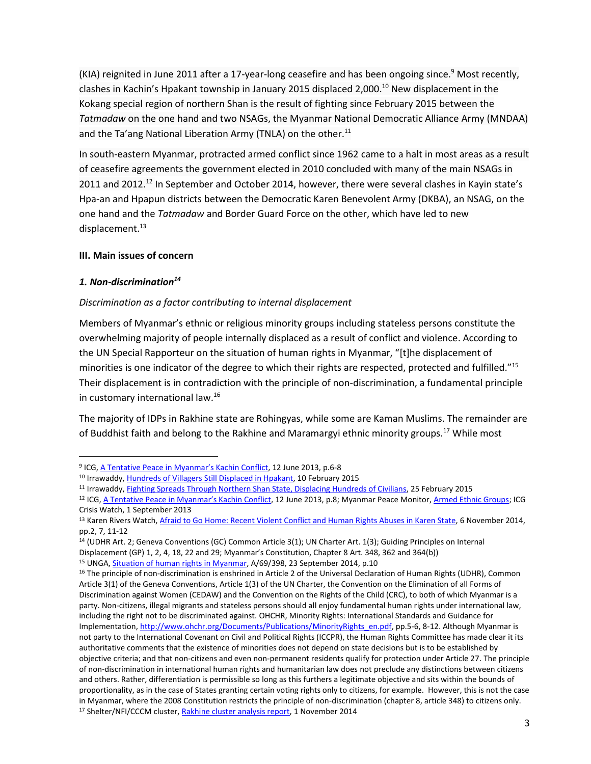(KIA) reignited in June 2011 after a 17-year-long ceasefire and has been ongoing since.<sup>9</sup> Most recently, clashes in Kachin's Hpakant township in January 2015 displaced 2,000.<sup>10</sup> New displacement in the Kokang special region of northern Shan is the result of fighting since February 2015 between the *Tatmadaw* on the one hand and two NSAGs, the Myanmar National Democratic Alliance Army (MNDAA) and the Ta'ang National Liberation Army (TNLA) on the other. $^{11}$ 

In south-eastern Myanmar, protracted armed conflict since 1962 came to a halt in most areas as a result of ceasefire agreements the government elected in 2010 concluded with many of the main NSAGs in 2011 and 2012.<sup>12</sup> In September and October 2014, however, there were several clashes in Kayin state's Hpa-an and Hpapun districts between the Democratic Karen Benevolent Army (DKBA), an NSAG, on the one hand and the *Tatmadaw* and Border Guard Force on the other, which have led to new displacement. 13

#### **III. Main issues of concern**

#### *1. Non-discrimination<sup>14</sup>*

 $\overline{a}$ 

### *Discrimination as a factor contributing to internal displacement*

Members of Myanmar's ethnic or religious minority groups including stateless persons constitute the overwhelming majority of people internally displaced as a result of conflict and violence. According to the UN Special Rapporteur on the situation of human rights in Myanmar, "[t]he displacement of minorities is one indicator of the degree to which their rights are respected, protected and fulfilled."<sup>15</sup> Their displacement is in contradiction with the principle of non-discrimination, a fundamental principle in customary international law. 16

The majority of IDPs in Rakhine state are Rohingyas, while some are Kaman Muslims. The remainder are of Buddhist faith and belong to the Rakhine and Maramargyi ethnic minority groups.<sup>17</sup> While most

<sup>&</sup>lt;sup>9</sup> ICG, <u>[A Tentative Peace in Myanmar's Kachin Conflict](http://www.crisisgroup.org/en/regions/asia/south-east-asia/myanmar/b140-a-tentative-peace-in-myanmars-kachin-conflict.aspx)</u>, 12 June 2013, p.6-8

<sup>10</sup> Irrawaddy[, Hundreds of Villagers Still Displaced in Hpakant,](http://www.irrawaddy.org/burma/hundreds-villagers-still-displaced-hpakant.html) 10 February 2015

<sup>11</sup> Irrawaddy[, Fighting Spreads Through Northern Shan State, Displacing Hundreds of Civilians,](http://www.irrawaddy.org/burma/fighting-spreads-northern-shan-state-displacing-hundreds-civilians.html) 25 February 2015

<sup>&</sup>lt;sup>12</sup> ICG, [A Tentative Peace in Myanmar's Kachin Conflict](http://www.crisisgroup.org/en/regions/asia/south-east-asia/myanmar/b140-a-tentative-peace-in-myanmars-kachin-conflict.aspx), 12 June 2013, p.8; Myanmar Peace Monitor[, Armed Ethnic Groups;](http://www.mmpeacemonitor.org/stakeholders/armed-ethnic-groups) ICG Crisis Watch, 1 September 2013

<sup>13</sup> Karen Rivers Watch, [Afraid to Go Home: Recent Violent Conflict and Human Rights Abuses in Karen State,](http://kesan.asia/index.php/resources/publications-media/reports/viewdownload/4-reports/156-afraid-to-go-home-recent-violent-conflict-and-human-rights-abuses-in-karen-state) 6 November 2014, pp.2, 7, 11-12

<sup>&</sup>lt;sup>14</sup> (UDHR Art. 2; Geneva Conventions (GC) Common Article 3(1); UN Charter Art. 1(3); Guiding Principles on Internal

Displacement (GP) 1, 2, 4, 18, 22 and 29; Myanmar's Constitution, Chapter 8 Art. 348, 362 and 364(b))

<sup>15</sup> UNGA, [Situation of human rights in Myanmar,](http://reliefweb.int/report/myanmar/report-special-rapporteur-situation-human-rights-myanmar-yanghee-lee-a69398) A/69/398, 23 September 2014, p.10

<sup>&</sup>lt;sup>16</sup> The principle of non-discrimination is enshrined in Article 2 of the Universal Declaration of Human Rights (UDHR), Common Article 3(1) of the Geneva Conventions, Article 1(3) of the UN Charter, the Convention on the Elimination of all Forms of Discrimination against Women (CEDAW) and the Convention on the Rights of the Child (CRC), to both of which Myanmar is a party. Non-citizens, illegal migrants and stateless persons should all enjoy fundamental human rights under international law, including the right not to be discriminated against. OHCHR, Minority Rights: International Standards and Guidance for Implementation[, http://www.ohchr.org/Documents/Publications/MinorityRights\\_en.pdf,](http://www.ohchr.org/Documents/Publications/MinorityRights_en.pdf) pp.5-6, 8-12. Although Myanmar is not party to the International Covenant on Civil and Political Rights (ICCPR), the Human Rights Committee has made clear it its authoritative comments that the existence of minorities does not depend on state decisions but is to be established by objective criteria; and that non-citizens and even non-permanent residents qualify for protection under Article 27. The principle of non-discrimination in international human rights and humanitarian law does not preclude any distinctions between citizens and others. Rather, differentiation is permissible so long as this furthers a legitimate objective and sits within the bounds of proportionality, as in the case of States granting certain voting rights only to citizens, for example. However, this is not the case in Myanmar, where the 2008 Constitution restricts the principle of non-discrimination (chapter 8, article 348) to citizens only. <sup>17</sup> Shelter/NFI/CCCM cluster[, Rakhine cluster analysis report,](https://www.sheltercluster.org/Asia/Myanmar/RakhineAndKachin/Documents/Shelter-NFI-CCCM%20Rakhine%20Cluster%20Analysis%20Report,%201st%20November%202014.xlsm) 1 November 2014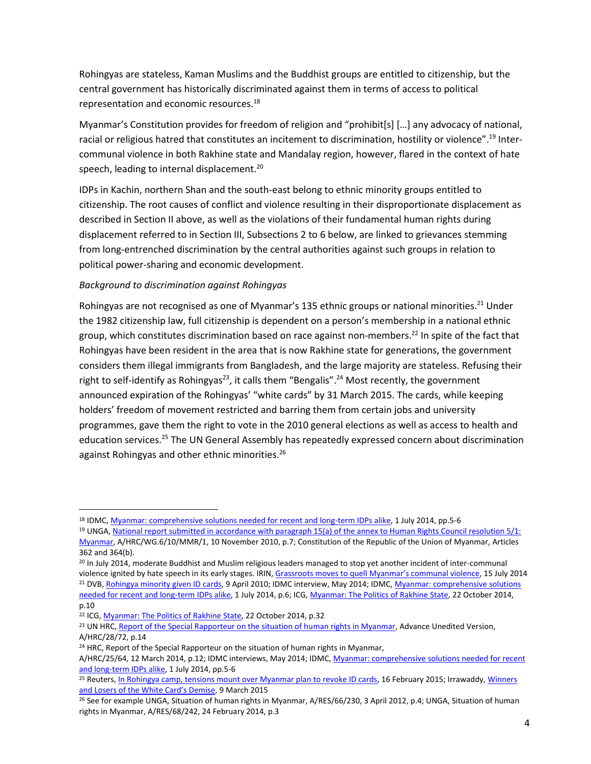Rohingyas are stateless, Kaman Muslims and the Buddhist groups are entitled to citizenship, but the central government has historically discriminated against them in terms of access to political representation and economic resources.<sup>18</sup>

Myanmar's Constitution provides for freedom of religion and "prohibit[s] […] any advocacy of national, racial or religious hatred that constitutes an incitement to discrimination, hostility or violence".<sup>19</sup> Intercommunal violence in both Rakhine state and Mandalay region, however, flared in the context of hate speech, leading to internal displacement.<sup>20</sup>

IDPs in Kachin, northern Shan and the south-east belong to ethnic minority groups entitled to citizenship. The root causes of conflict and violence resulting in their disproportionate displacement as described in Section II above, as well as the violations of their fundamental human rights during displacement referred to in Section III, Subsections 2 to 6 below, are linked to grievances stemming from long-entrenched discrimination by the central authorities against such groups in relation to political power-sharing and economic development.

### *Background to discrimination against Rohingyas*

Rohingyas are not recognised as one of Myanmar's 135 ethnic groups or national minorities.<sup>21</sup> Under the 1982 citizenship law, full citizenship is dependent on a person's membership in a national ethnic group, which constitutes discrimination based on race against non-members.<sup>22</sup> In spite of the fact that Rohingyas have been resident in the area that is now Rakhine state for generations, the government considers them illegal immigrants from Bangladesh, and the large majority are stateless. Refusing their right to self-identify as Rohingyas<sup>23</sup>, it calls them "Bengalis".<sup>24</sup> Most recently, the government announced expiration of the Rohingyas' "white cards" by 31 March 2015. The cards, while keeping holders' freedom of movement restricted and barring them from certain jobs and university programmes, gave them the right to vote in the 2010 general elections as well as access to health and education services.<sup>25</sup> The UN General Assembly has repeatedly expressed concern about discrimination against Rohingyas and other ethnic minorities.<sup>26</sup>

<sup>20</sup> In July 2014, moderate Buddhist and Muslim religious leaders managed to stop yet another incident of inter-communal violence ignited by hate speech in its early stages. IRIN, [Grassroots moves to quell Myanmar's communal violence](http://www.irinnews.org/report/100345/grassroots-moves-to-quell-myanmar-s-communal-violence), 15 July 2014 <sup>21</sup> DVB, [Rohingya minority given ID cards,](https://www.dvb.no/elections/rohingya-minority-given-id-cards/8592) 9 April 2010; IDMC interview, May 2014; IDMC, Myanmar: comprehensive solutions [needed for recent and long-term IDPs alike,](http://www.internal-displacement.org/south-and-south-east-asia/myanmar/2014/myanmar-comprehensive-solutions-needed-for-recent-and-long-term-idps-alike) 1 July 2014, p.6; ICG[, Myanmar: The Politics of Rakhine State,](http://www.crisisgroup.org/en/regions/asia/south-east-asia/myanmar/261-myanmar-the-politics-of-rakhine-state.aspx) 22 October 2014,

p.10 <sup>22</sup> ICG, *Myanmar: The Politics of Rakhine State*, 22 October 2014, p.32

 $\overline{a}$ 

<sup>18</sup> IDMC[, Myanmar: comprehensive solutions needed for recent and long-term IDPs alike,](http://www.internal-displacement.org/south-and-south-east-asia/myanmar/2014/myanmar-comprehensive-solutions-needed-for-recent-and-long-term-idps-alike) 1 July 2014, pp.5-6

<sup>&</sup>lt;sup>19</sup> UNGA, National report submitted in accordance with paragraph 15(a) of the annex to Human Rights Council resolution 5/1: [Myanmar,](http://www.ohchr.org/EN/HRBodies/UPR/PAGES/MMSession10.aspx) A/HRC/WG.6/10/MMR/1, 10 November 2010, p.7; Constitution of the Republic of the Union of Myanmar, Articles 362 and 364(b).

<sup>&</sup>lt;sup>23</sup> UN HRC[, Report of the Special Rapporteur on the situation of human rights in Myanmar,](http://www.ohchr.org/EN/HRBodies/HRC/RegularSessions/Session28/Documents/A_HRC_28_72_en.doc) Advance Unedited Version, A/HRC/28/72, p.14

<sup>&</sup>lt;sup>24</sup> HRC, Report of the Special Rapporteur on the situation of human rights in Myanmar,

A/HRC/25/64, 12 March 2014, p.12; IDMC interviews, May 2014; IDMC, Myanmar: comprehensive solutions needed for recent [and long-term IDPs alike,](http://www.internal-displacement.org/south-and-south-east-asia/myanmar/2014/myanmar-comprehensive-solutions-needed-for-recent-and-long-term-idps-alike) 1 July 2014, pp.5-6

<sup>&</sup>lt;sup>25</sup> Reuters[, In Rohingya camp, tensions mount over Myanmar plan to revoke ID cards,](http://www.reuters.com/article/2015/02/17/us-myanmar-rohingya-idUSKBN0LL05320150217) 16 February 2015; Irrawaddy, Winners [and Losers of the White Card's Demise](http://www.irrawaddy.org/news-analysis/winners-and-losers-of-the-white-cards-demise.html), 9 March 2015

<sup>&</sup>lt;sup>26</sup> See for example UNGA, Situation of human rights in Myanmar, A/RES/66/230, 3 April 2012, p.4; UNGA, Situation of human rights in Myanmar, A/RES/68/242, 24 February 2014, p.3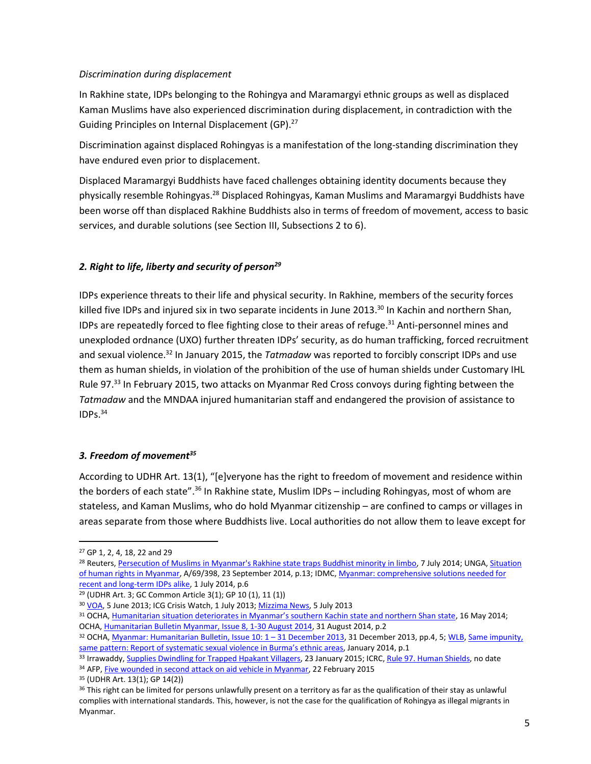#### *Discrimination during displacement*

In Rakhine state, IDPs belonging to the Rohingya and Maramargyi ethnic groups as well as displaced Kaman Muslims have also experienced discrimination during displacement, in contradiction with the Guiding Principles on Internal Displacement (GP).<sup>27</sup>

Discrimination against displaced Rohingyas is a manifestation of the long-standing discrimination they have endured even prior to displacement.

Displaced Maramargyi Buddhists have faced challenges obtaining identity documents because they physically resemble Rohingyas.<sup>28</sup> Displaced Rohingyas, Kaman Muslims and Maramargyi Buddhists have been worse off than displaced Rakhine Buddhists also in terms of freedom of movement, access to basic services, and durable solutions (see Section III, Subsections 2 to 6).

# *2. Right to life, liberty and security of person<sup>29</sup>*

IDPs experience threats to their life and physical security. In Rakhine, members of the security forces killed five IDPs and injured six in two separate incidents in June 2013.<sup>30</sup> In Kachin and northern Shan, IDPs are repeatedly forced to flee fighting close to their areas of refuge.<sup>31</sup> Anti-personnel mines and unexploded ordnance (UXO) further threaten IDPs' security, as do human trafficking, forced recruitment and sexual violence.<sup>32</sup> In January 2015, the *Tatmadaw* was reported to forcibly conscript IDPs and use them as human shields, in violation of the prohibition of the use of human shields under Customary IHL Rule 97.<sup>33</sup> In February 2015, two attacks on Myanmar Red Cross convoys during fighting between the *Tatmadaw* and the MNDAA injured humanitarian staff and endangered the provision of assistance to IDPs.<sup>34</sup>

### *3. Freedom of movement<sup>35</sup>*

According to UDHR Art. 13(1), "[e]veryone has the right to freedom of movement and residence within the borders of each state".<sup>36</sup> In Rakhine state, Muslim IDPs – including Rohingyas, most of whom are stateless, and Kaman Muslims, who do hold Myanmar citizenship – are confined to camps or villages in areas separate from those where Buddhists live. Local authorities do not allow them to leave except for

 $\overline{a}$ 

<sup>30</sup> [VOA,](http://www.voanews.com/content/three-rohingya-women-shot-dead-in-clash-with-burmese-police/1675889.html) 5 June 2013; ICG Crisis Watch, 1 July 2013; [Mizzima News,](http://www.mizzima.com/mizzima-news/rohingya-issues/item/9616-un-condemns-idp-camp-shootings-calls-for-urgent-action) 5 July 2013

<sup>34</sup> AFP[, Five wounded in second attack on aid vehicle in Myanmar,](http://reliefweb.int/report/myanmar/five-wounded-second-attack-aid-vehicle-myanmar) 22 February 2015

<sup>35</sup> (UDHR Art. 13(1); GP 14(2))

<sup>27</sup> GP 1, 2, 4, 18, 22 and 29

<sup>28</sup> Reuters, Persecution of Muslims in [Myanmar's Rakhine state traps Buddhist minority in limbo,](http://www.trust.org/item/20140619100213-znpkh/?source=fiTheWire) 7 July 2014; UNGA, [Situation](http://reliefweb.int/report/myanmar/report-special-rapporteur-situation-human-rights-myanmar-yanghee-lee-a69398)  [of human rights in Myanmar,](http://reliefweb.int/report/myanmar/report-special-rapporteur-situation-human-rights-myanmar-yanghee-lee-a69398) A/69/398, 23 September 2014, p.13; IDMC, [Myanmar: comprehensive solutions needed for](http://www.internal-displacement.org/south-and-south-east-asia/myanmar/2014/myanmar-comprehensive-solutions-needed-for-recent-and-long-term-idps-alike)  [recent and long-term IDPs alike,](http://www.internal-displacement.org/south-and-south-east-asia/myanmar/2014/myanmar-comprehensive-solutions-needed-for-recent-and-long-term-idps-alike) 1 July 2014, p.6

<sup>29</sup> (UDHR Art. 3; GC Common Article 3(1); GP 10 (1), 11 (1))

<sup>31</sup> OCHA, [Humanitarian situation deteriorates in Myanmar's southern Kachin state and northern Shan state](http://reliefweb.int/sites/reliefweb.int/files/resources/OCHA_Myanmar_Press_Release_16May2014.pdf), 16 May 2014; OCHA, [Humanitarian Bulletin Myanmar, Issue 8, 1-30 August 2014,](http://reliefweb.int/report/myanmar/humanitarian-bulletin-myanmar-issue-8-1-30-august-2014-enmy) 31 August 2014, p.2

<sup>32</sup> OCHA, [Myanmar: Humanitarian Bulletin, Issue 10: 1](http://reliefweb.int/report/myanmar/myanmar-humanitarian-bulletin-issue-10-1-31-december-2013) - 31 December 2013, 31 December 2013, pp.4, 5; WLB, Same impunity, [same pattern: Report of systematic sexual violence in Burma's ethnic areas](http://www.kachinwomen.com/publications/reports/119-same-impunity-same-pattern-report-of-systematic-sexual-violence-in-burmas-ethnic-areas.html), January 2014, p.1

<sup>33</sup> Irrawaddy[, Supplies Dwindling for Trapped Hpakant Villagers,](http://www.irrawaddy.org/burma/supplies-dwindling-trapped-hpakant-villagers.html) 23 January 2015; ICRC, [Rule 97. Human Shields,](https://www.icrc.org/customary-ihl/eng/docs/v1_rul_rule97) no date

<sup>&</sup>lt;sup>36</sup> This right can be limited for persons unlawfully present on a territory as far as the qualification of their stay as unlawful complies with international standards. This, however, is not the case for the qualification of Rohingya as illegal migrants in Myanmar.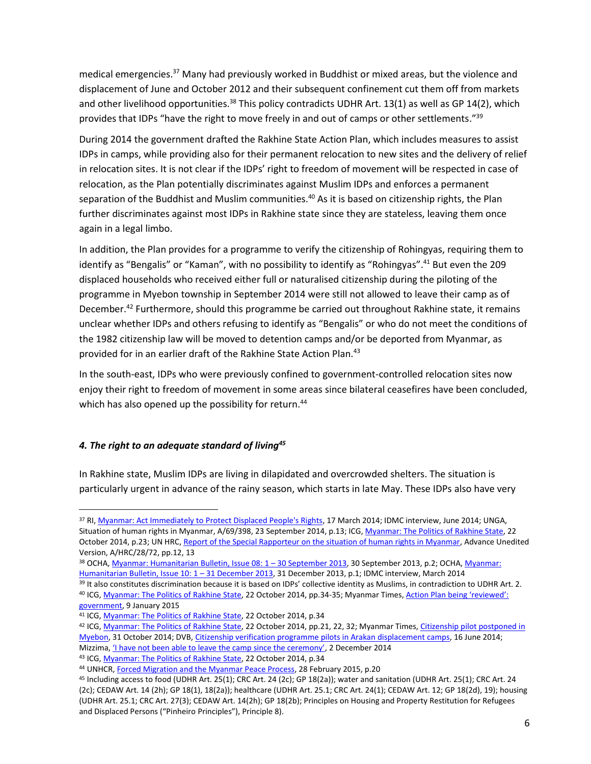medical emergencies.<sup>37</sup> Many had previously worked in Buddhist or mixed areas, but the violence and displacement of June and October 2012 and their subsequent confinement cut them off from markets and other livelihood opportunities.<sup>38</sup> This policy contradicts UDHR Art. 13(1) as well as GP 14(2), which provides that IDPs "have the right to move freely in and out of camps or other settlements."<sup>39</sup>

During 2014 the government drafted the Rakhine State Action Plan, which includes measures to assist IDPs in camps, while providing also for their permanent relocation to new sites and the delivery of relief in relocation sites. It is not clear if the IDPs' right to freedom of movement will be respected in case of relocation, as the Plan potentially discriminates against Muslim IDPs and enforces a permanent separation of the Buddhist and Muslim communities.<sup>40</sup> As it is based on citizenship rights, the Plan further discriminates against most IDPs in Rakhine state since they are stateless, leaving them once again in a legal limbo.

In addition, the Plan provides for a programme to verify the citizenship of Rohingyas, requiring them to identify as "Bengalis" or "Kaman", with no possibility to identify as "Rohingyas". <sup>41</sup> But even the 209 displaced households who received either full or naturalised citizenship during the piloting of the programme in Myebon township in September 2014 were still not allowed to leave their camp as of December.<sup>42</sup> Furthermore, should this programme be carried out throughout Rakhine state, it remains unclear whether IDPs and others refusing to identify as "Bengalis" or who do not meet the conditions of the 1982 citizenship law will be moved to detention camps and/or be deported from Myanmar, as provided for in an earlier draft of the Rakhine State Action Plan.<sup>43</sup>

In the south-east, IDPs who were previously confined to government-controlled relocation sites now enjoy their right to freedom of movement in some areas since bilateral ceasefires have been concluded, which has also opened up the possibility for return.<sup>44</sup>

### *4. The right to an adequate standard of living<sup>45</sup>*

 $\overline{a}$ 

In Rakhine state, Muslim IDPs are living in dilapidated and overcrowded shelters. The situation is particularly urgent in advance of the rainy season, which starts in late May. These IDPs also have very

<sup>37</sup> RI[, Myanmar: Act Immediately to Protect Displaced People's Rights,](http://refugeesinternational.org/policy/field-report/myanmar-act-immediately-protect-displaced-peoples-rights) 17 March 2014; IDMC interview, June 2014; UNGA, Situation of human rights in Myanmar, A/69/398, 23 September 2014, p.13; ICG[, Myanmar: The Politics of Rakhine State,](http://www.crisisgroup.org/en/regions/asia/south-east-asia/myanmar/261-myanmar-the-politics-of-rakhine-state.aspx) 22 October 2014, p.23; UN HRC[, Report of the Special Rapporteur on the situation of human rights in Myanmar,](http://www.ohchr.org/EN/HRBodies/HRC/RegularSessions/Session28/Documents/A_HRC_28_72_en.doc) Advance Unedited Version, A/HRC/28/72, pp.12, 13

<sup>38</sup> OCHA, [Myanmar: Humanitarian Bulletin, Issue 08: 1](http://reliefweb.int/report/myanmar/myanmar-humanitarian-bulletin-issue-08-1-%E2%80%93-30-september-2013-enmy) – 30 September 2013, 30 September 2013, p.2; OCHA[, Myanmar:](http://reliefweb.int/report/myanmar/myanmar-humanitarian-bulletin-issue-10-1-31-december-2013)  [Humanitarian Bulletin, Issue 10: 1](http://reliefweb.int/report/myanmar/myanmar-humanitarian-bulletin-issue-10-1-31-december-2013) – 31 December 2013, 31 December 2013, p.1; IDMC interview, March 2014

<sup>&</sup>lt;sup>39</sup> It also constitutes discrimination because it is based on IDPs' collective identity as Muslims, in contradiction to UDHR Art. 2.

<sup>&</sup>lt;sup>40</sup> ICG[, Myanmar: The Politics of Rakhine State,](http://www.crisisgroup.org/en/regions/asia/south-east-asia/myanmar/261-myanmar-the-politics-of-rakhine-state.aspx) 22 October 2014, pp.34-35; Myanmar Times, Action Plan being 'reviewed': [government,](http://www.mmtimes.com/index.php/national-news/12754-rakhine-action-plan-in-line-for-amendments.html) 9 January 2015

<sup>&</sup>lt;sup>41</sup> ICG[, Myanmar: The Politics of Rakhine State,](http://www.crisisgroup.org/en/regions/asia/south-east-asia/myanmar/261-myanmar-the-politics-of-rakhine-state.aspx) 22 October 2014, p.34

<sup>42</sup> ICG[, Myanmar: The Politics of Rakhine State,](http://www.crisisgroup.org/en/regions/asia/south-east-asia/myanmar/261-myanmar-the-politics-of-rakhine-state.aspx) 22 October 2014, pp.21, 22, 32; Myanmar Times, Citizenship pilot postponed in [Myebon,](http://www.mmtimes.com/index.php/national-news/12112-citizenship-pilot-postponed-in-myebon.html) 31 October 2014; DVB, [Citizenship verification programme pilots in Arakan displacement camps,](https://www.dvb.no/news/citizenship-verification-programme-pilots-in-arakan-displacement-camps-burma-myanmar/41559) 16 June 2014; Mizzima, *['I have not been able to leave the camp since the ceremony'](http://www.mizzima.com/opinion/features/item/15448-i-have-not-been-able-to-leave-the-camp-since-the-ceremony/15448-i-have-not-been-able-to-leave-the-camp-since-the-ceremony)*, 2 December 2014

<sup>43</sup> ICG[, Myanmar: The Politics of Rakhine State,](http://www.crisisgroup.org/en/regions/asia/south-east-asia/myanmar/261-myanmar-the-politics-of-rakhine-state.aspx) 22 October 2014, p.34

<sup>44</sup> UNHCR[, Forced Migration and the Myanmar Peace Process,](http://reliefweb.int/report/myanmar/forced-migration-and-myanmar-peace-process) 28 February 2015, p.20

<sup>45</sup> Including access to food (UDHR Art. 25(1); CRC Art. 24 (2c); GP 18(2a)); water and sanitation (UDHR Art. 25(1); CRC Art. 24 (2c); CEDAW Art. 14 (2h); GP 18(1), 18(2a)); healthcare (UDHR Art. 25.1; CRC Art. 24(1); CEDAW Art. 12; GP 18(2d), 19); housing (UDHR Art. 25.1; CRC Art. 27(3); CEDAW Art. 14(2h); GP 18(2b); Principles on Housing and Property Restitution for Refugees and Displaced Persons ("Pinheiro Principles"), Principle 8).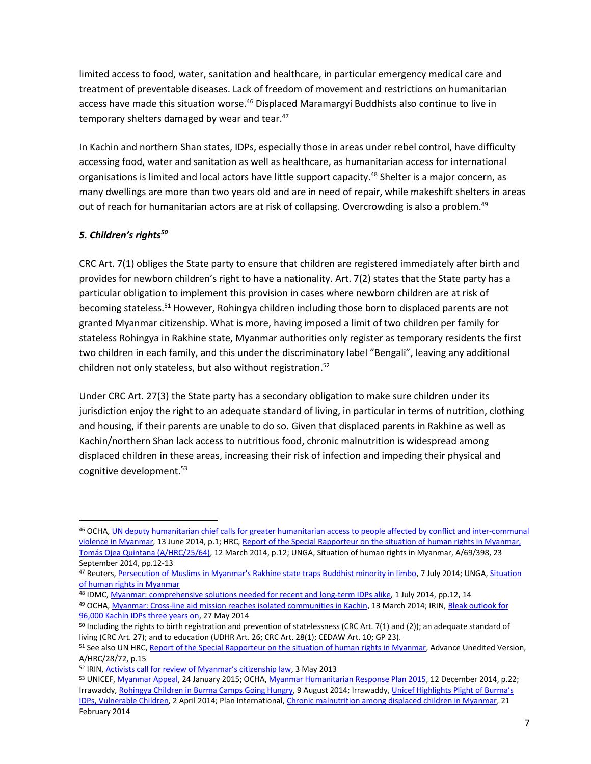limited access to food, water, sanitation and healthcare, in particular emergency medical care and treatment of preventable diseases. Lack of freedom of movement and restrictions on humanitarian access have made this situation worse. <sup>46</sup> Displaced Maramargyi Buddhists also continue to live in temporary shelters damaged by wear and tear.<sup>47</sup>

In Kachin and northern Shan states, IDPs, especially those in areas under rebel control, have difficulty accessing food, water and sanitation as well as healthcare, as humanitarian access for international organisations is limited and local actors have little support capacity.<sup>48</sup> Shelter is a major concern, as many dwellings are more than two years old and are in need of repair, while makeshift shelters in areas out of reach for humanitarian actors are at risk of collapsing. Overcrowding is also a problem.<sup>49</sup>

# *5. Children's rights<sup>50</sup>*

 $\overline{a}$ 

CRC Art. 7(1) obliges the State party to ensure that children are registered immediately after birth and provides for newborn children's right to have a nationality. Art. 7(2) states that the State party has a particular obligation to implement this provision in cases where newborn children are at risk of becoming stateless.<sup>51</sup> However, Rohingya children including those born to displaced parents are not granted Myanmar citizenship. What is more, having imposed a limit of two children per family for stateless Rohingya in Rakhine state, Myanmar authorities only register as temporary residents the first two children in each family, and this under the discriminatory label "Bengali", leaving any additional children not only stateless, but also without registration. 52

Under CRC Art. 27(3) the State party has a secondary obligation to make sure children under its jurisdiction enjoy the right to an adequate standard of living, in particular in terms of nutrition, clothing and housing, if their parents are unable to do so. Given that displaced parents in Rakhine as well as Kachin/northern Shan lack access to nutritious food, chronic malnutrition is widespread among displaced children in these areas, increasing their risk of infection and impeding their physical and cognitive development. 53

<sup>46</sup> OCHA, [UN deputy humanitarian chief calls for greater humanitarian access to people affected by](http://reliefweb.int/report/myanmar/un-deputy-humanitarian-chief-calls-greater-humanitarian-access-people-affected) conflict and inter-communal [violence in Myanmar,](http://reliefweb.int/report/myanmar/un-deputy-humanitarian-chief-calls-greater-humanitarian-access-people-affected) 13 June 2014, p.1; HRC, Report of the Special Rapporteur on the situation of human rights in Myanmar, [Tomás Ojea Quintana \(A/HRC/25/64\),](http://reliefweb.int/report/myanmar/report-special-rapporteur-situation-human-rights-myanmar-tom-s-ojea-quintana-ahrc2564) 12 March 2014, p.12; UNGA, Situation of human rights in Myanmar, A/69/398, 23 September 2014, pp.12-13

<sup>47</sup> Reuters[, Persecution of Muslims in Myanmar's Rakhine state traps Buddhist minority in limbo,](http://www.trust.org/item/20140619100213-znpkh/?source=fiTheWire) 7 July 2014; UNGA, [Situation](http://reliefweb.int/report/myanmar/report-special-rapporteur-situation-human-rights-myanmar-yanghee-lee-a69398)  [of human rights in Myanmar](http://reliefweb.int/report/myanmar/report-special-rapporteur-situation-human-rights-myanmar-yanghee-lee-a69398)

<sup>48</sup> IDMC[, Myanmar: comprehensive solutions needed for recent and long-term IDPs alike,](http://www.internal-displacement.org/south-and-south-east-asia/myanmar/2014/myanmar-comprehensive-solutions-needed-for-recent-and-long-term-idps-alike) 1 July 2014, pp.12, 14

<sup>49</sup> OCHA, [Myanmar: Cross-line aid mission reaches isolated communities in Kachin,](http://www.unocha.org/top-stories/all-stories/myanmar-cross-line-aid-mission-reaches-isolated-communities-kachin) 13 March 2014; IRIN, Bleak outlook for [96,000 Kachin IDPs three years on,](http://www.irinnews.org/report/100138/bleak-outlook-for-96-000-kachin-idps-three-years-on) 27 May 2014

 $50$  Including the rights to birth registration and prevention of statelessness (CRC Art. 7(1) and (2)); an adequate standard of living (CRC Art. 27); and to education (UDHR Art. 26; CRC Art. 28(1); CEDAW Art. 10; GP 23).

<sup>&</sup>lt;sup>51</sup> See also UN HRC, [Report of the Special Rapporteur on the situation of human rights in Myanmar,](http://www.ohchr.org/EN/HRBodies/HRC/RegularSessions/Session28/Documents/A_HRC_28_72_en.doc) Advance Unedited Version, A/HRC/28/72, p.15

<sup>&</sup>lt;sup>52</sup> IRIN, **[Activists call for review of Myanmar's citizenship law](http://www.irinnews.org/report/97966/activists-call-for-review-of-myanmar-s-citizenship-law)**, 3 May 2013

<sup>53</sup> UNICEF[, Myanmar Appeal,](http://www.unicef.org/appeals/files/Final_HAC_2015_Myanmar.pdf) 24 January 2015; OCHA[, Myanmar Humanitarian Response Plan 2015,](http://reliefweb.int/report/myanmar/myanmar-humanitarian-response-plan-2015) 12 December 2014, p.22; Irrawaddy[, Rohingya Children in Burma Camps Going Hungry,](http://www.irrawaddy.org/burma/rohingya-children-burma-camps-going-hungry.html) 9 August 2014; Irrawaddy, [Unicef Highlights Plight of Burma's](http://www.irrawaddy.org/burma/unicef-highlights-plight-burmas-idps-vulnerable-children.html)  [IDPs, Vulnerable Children,](http://www.irrawaddy.org/burma/unicef-highlights-plight-burmas-idps-vulnerable-children.html) 2 April 2014; Plan International[, Chronic malnutrition among displaced children in Myanmar,](http://www.trust.org/item/20140221125342-qt314/?source=search) 21 February 2014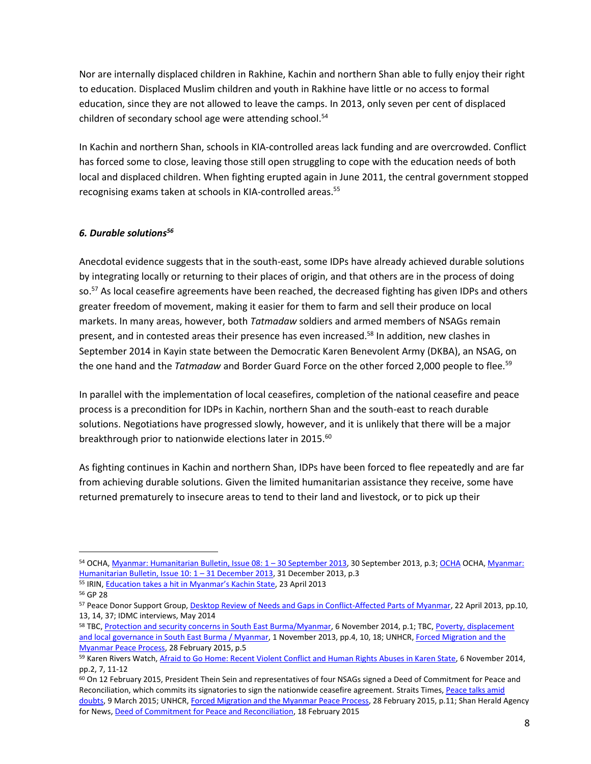Nor are internally displaced children in Rakhine, Kachin and northern Shan able to fully enjoy their right to education. Displaced Muslim children and youth in Rakhine have little or no access to formal education, since they are not allowed to leave the camps. In 2013, only seven per cent of displaced children of secondary school age were attending school. 54

In Kachin and northern Shan, schools in KIA-controlled areas lack funding and are overcrowded. Conflict has forced some to close, leaving those still open struggling to cope with the education needs of both local and displaced children. When fighting erupted again in June 2011, the central government stopped recognising exams taken at schools in KIA-controlled areas.<sup>55</sup>

# *6. Durable solutions<sup>56</sup>*

Anecdotal evidence suggests that in the south-east, some IDPs have already achieved durable solutions by integrating locally or returning to their places of origin, and that others are in the process of doing so.<sup>57</sup> As local ceasefire agreements have been reached, the decreased fighting has given IDPs and others greater freedom of movement, making it easier for them to farm and sell their produce on local markets. In many areas, however, both *Tatmadaw* soldiers and armed members of NSAGs remain present, and in contested areas their presence has even increased.<sup>58</sup> In addition, new clashes in September 2014 in Kayin state between the Democratic Karen Benevolent Army (DKBA), an NSAG, on the one hand and the *Tatmadaw* and Border Guard Force on the other forced 2,000 people to flee.<sup>59</sup>

In parallel with the implementation of local ceasefires, completion of the national ceasefire and peace process is a precondition for IDPs in Kachin, northern Shan and the south-east to reach durable solutions. Negotiations have progressed slowly, however, and it is unlikely that there will be a major breakthrough prior to nationwide elections later in 2015.<sup>60</sup>

As fighting continues in Kachin and northern Shan, IDPs have been forced to flee repeatedly and are far from achieving durable solutions. Given the limited humanitarian assistance they receive, some have returned prematurely to insecure areas to tend to their land and livestock, or to pick up their

 $\overline{a}$ 

<sup>54</sup> OCHA, [Myanmar: Humanitarian Bulletin, Issue 08: 1](http://reliefweb.int/report/myanmar/myanmar-humanitarian-bulletin-issue-08-1-%E2%80%93-30-september-2013-enmy) – 30 September 2013, 30 September 2013, p.3; [OCHA](http://reliefweb.int/report/myanmar/myanmar-humanitarian-bulletin-issue-10-1-31-december-2013) OCHA[, Myanmar:](http://reliefweb.int/report/myanmar/myanmar-humanitarian-bulletin-issue-10-1-31-december-2013)  [Humanitarian Bulletin, Issue 10: 1](http://reliefweb.int/report/myanmar/myanmar-humanitarian-bulletin-issue-10-1-31-december-2013) – 31 December 2013, 31 December 2013, p.3

<sup>55</sup> IRIN, [Education takes a hit in Myanmar's Kachin State](http://www.irinnews.org/report/97899/education-takes-a-hit-in-myanmar-s-kachin-state), 23 April 2013

<sup>56</sup> GP 28

<sup>57</sup> Peace Donor Support Group, **Desktop Review of Needs and Gaps in Conflict-Affected Parts of Myanmar**, 22 April 2013, pp.10, 13, 14, 37; IDMC interviews, May 2014

<sup>58</sup> TBC[, Protection and security concerns in South East Burma/Myanmar,](http://reliefweb.int/report/myanmar/protection-and-security-concerns-south-east-burma-myanmar) 6 November 2014, p.1; TBC[, Poverty, displacement](http://reliefweb.int/report/myanmar/poverty-displacement-and-local-governance-south-east-burma-myanmar)  [and local governance in South East Burma / Myanmar,](http://reliefweb.int/report/myanmar/poverty-displacement-and-local-governance-south-east-burma-myanmar) 1 November 2013, pp.4, 10, 18; UNHCR, Forced Migration and the [Myanmar Peace Process,](http://reliefweb.int/report/myanmar/forced-migration-and-myanmar-peace-process) 28 February 2015, p.5

<sup>59</sup> Karen Rivers Watch, [Afraid to Go Home: Recent Violent Conflict and Human Rights Abuses in Karen State,](http://kesan.asia/index.php/resources/publications-media/reports/viewdownload/4-reports/156-afraid-to-go-home-recent-violent-conflict-and-human-rights-abuses-in-karen-state) 6 November 2014, pp.2, 7, 11-12

 $60$  On 12 February 2015, President Thein Sein and representatives of four NSAGs signed a Deed of Commitment for Peace and Reconciliation, which commits its signatories to sign the nationwide ceasefire agreement. Straits Times[, Peace talks amid](http://www.nationmultimedia.com/aec/Peace-talks-amid-doubts-30255484.html)  [doubts,](http://www.nationmultimedia.com/aec/Peace-talks-amid-doubts-30255484.html) 9 March 2015; UNHCR, [Forced Migration and the Myanmar Peace Process,](http://reliefweb.int/report/myanmar/forced-migration-and-myanmar-peace-process) 28 February 2015, p.11; Shan Herald Agency for News[, Deed of Commitment for Peace and Reconciliation,](http://english.panglong.org/deed-of-commitment-for-peace-and-reconciliation/) 18 February 2015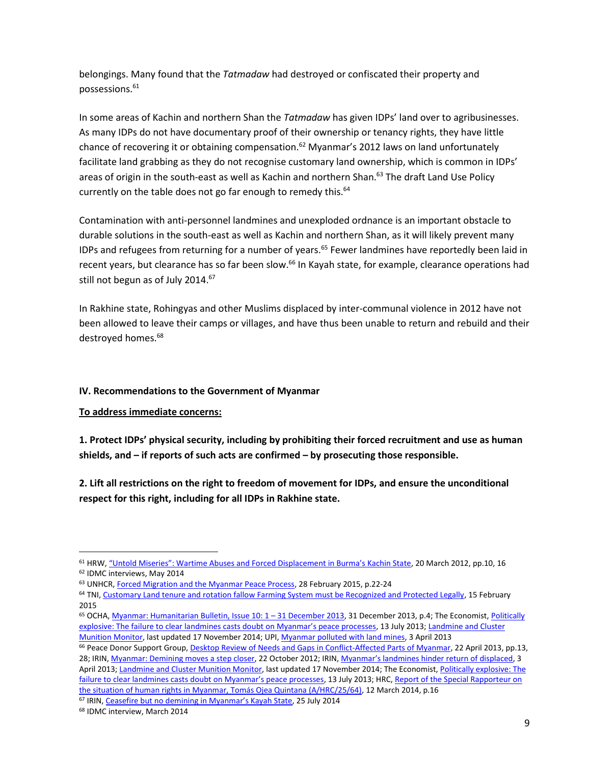belongings. Many found that the *Tatmadaw* had destroyed or confiscated their property and possessions.<sup>61</sup>

In some areas of Kachin and northern Shan the *Tatmadaw* has given IDPs' land over to agribusinesses. As many IDPs do not have documentary proof of their ownership or tenancy rights, they have little chance of recovering it or obtaining compensation.<sup>62</sup> Myanmar's 2012 laws on land unfortunately facilitate land grabbing as they do not recognise customary land ownership, which is common in IDPs' areas of origin in the south-east as well as Kachin and northern Shan.<sup>63</sup> The draft Land Use Policy currently on the table does not go far enough to remedy this.<sup>64</sup>

Contamination with anti-personnel landmines and unexploded ordnance is an important obstacle to durable solutions in the south-east as well as Kachin and northern Shan, as it will likely prevent many IDPs and refugees from returning for a number of years.<sup>65</sup> Fewer landmines have reportedly been laid in recent years, but clearance has so far been slow.<sup>66</sup> In Kayah state, for example, clearance operations had still not begun as of July 2014.<sup>67</sup>

In Rakhine state, Rohingyas and other Muslims displaced by inter-communal violence in 2012 have not been allowed to leave their camps or villages, and have thus been unable to return and rebuild and their destroyed homes.<sup>68</sup>

### **IV. Recommendations to the Government of Myanmar**

**To address immediate concerns:**

**1. Protect IDPs' physical security, including by prohibiting their forced recruitment and use as human shields, and – if reports of such acts are confirmed – by prosecuting those responsible.**

**2. Lift all restrictions on the right to freedom of movement for IDPs, and ensure the unconditional respect for this right, including for all IDPs in Rakhine state.** 

<sup>66</sup> Peace Donor Support Group, **Desktop Review of Needs and Gaps in Conflict-Affected Parts of Myanmar**, 22 April 2013, pp.13, 28; IRIN[, Myanmar: Demining moves](http://www.irinnews.org/report/96611/myanmar-demining-moves-a-step-closer) a step closer, 22 October 2012; IRIN, [Myanmar's landmines hinder return of displaced](http://www.irinnews.org/report/97768/myanmar-s-landmines-hinder-return-of-displaced), 3 April 2013; [Landmine and Cluster Munition Monitor,](http://www.the-monitor.org/index.php/cp/display/region_profiles/theme/2870) last updated 17 November 2014; The Economist, Politically explosive: The [failure to clear landmines casts doubt on Myanmar's peace processes](http://www.economist.com/news/asia/21581775-failure-clear-landmines-casts-doubt-myanmars-peace-processes-politically-explosive), 13 July 2013; HRC, Report of the Special Rapporteur on [the situation of human rights in Myanmar, Tomás Ojea Quintana \(A/HRC/25/64\),](http://reliefweb.int/report/myanmar/report-special-rapporteur-situation-human-rights-myanmar-tom-s-ojea-quintana-ahrc2564) 12 March 2014, p.16

<sup>67</sup> IRIN, C[easefire but no demining in Myanmar's Kayah State](http://www.irinnews.org/report/100404/ceasefire-but-no-demining-in-myanmar-s-kayah-state), 25 July 2014

 $\overline{a}$ 

<sup>61</sup> HRW, ["Untold Miseries": Wartime Abuses and Forced Displacement in Burma's Kachin State](http://www.hrw.org/reports/2012/03/20/untold-miseries), 20 March 2012, pp.10, 16 <sup>62</sup> IDMC interviews, May 2014

<sup>63</sup> UNHCR[, Forced Migration and the Myanmar Peace Process,](http://reliefweb.int/report/myanmar/forced-migration-and-myanmar-peace-process) 28 February 2015, p.22-24

<sup>&</sup>lt;sup>64</sup> TNI, [Customary Land tenure and rotation fallow Farming System must be Recognized and Protected Legally,](http://www.tni.org/pressrelease/customary-land-tenure-and-rotation-fallow-farming-system-must-be-recognized-and?context=70443) 15 February 2015

 $65$  OCHA, Myanmar: Humanitarian Bulletin, Issue  $10:1-31$  December 2013, 31 December 2013, p.4; The Economist, Politically explosive: The failu[re to clear landmines casts doubt on Myanmar's peace processes](http://www.economist.com/news/asia/21581775-failure-clear-landmines-casts-doubt-myanmars-peace-processes-politically-explosive), 13 July 2013; [Landmine and Cluster](http://www.the-monitor.org/index.php/cp/display/region_profiles/theme/2873)  [Munition Monitor,](http://www.the-monitor.org/index.php/cp/display/region_profiles/theme/2873) last updated 17 November 2014; UPI[, Myanmar polluted with land mines,](http://www.upi.com/Top_News/Special/2013/04/03/Myanmar-polluted-with-land-mines/UPI-60071364996910/) 3 April 2013

<sup>68</sup> IDMC interview, March 2014